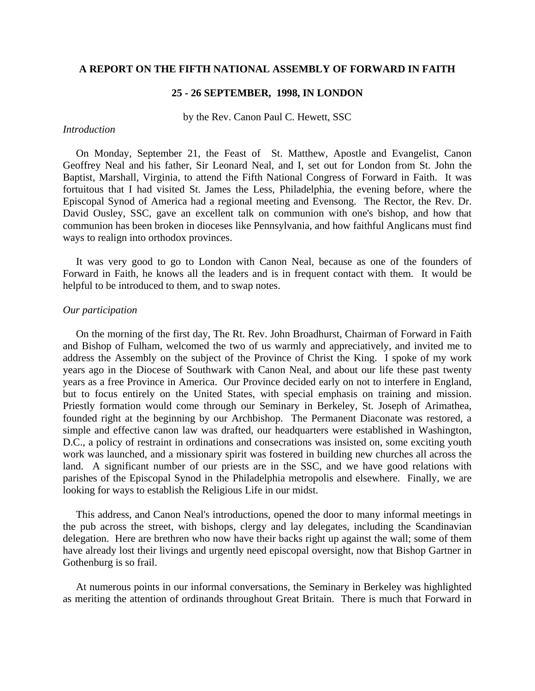# **A REPORT ON THE FIFTH NATIONAL ASSEMBLY OF FORWARD IN FAITH**

# **25 - 26 SEPTEMBER, 1998, IN LONDON**

by the Rev. Canon Paul C. Hewett, SSC

## *Introduction*

On Monday, September 21, the Feast of St. Matthew, Apostle and Evangelist, Canon Geoffrey Neal and his father, Sir Leonard Neal, and I, set out for London from St. John the Baptist, Marshall, Virginia, to attend the Fifth National Congress of Forward in Faith. It was fortuitous that I had visited St. James the Less, Philadelphia, the evening before, where the Episcopal Synod of America had a regional meeting and Evensong. The Rector, the Rev. Dr. David Ousley, SSC, gave an excellent talk on communion with one's bishop, and how that communion has been broken in dioceses like Pennsylvania, and how faithful Anglicans must find ways to realign into orthodox provinces.

 It was very good to go to London with Canon Neal, because as one of the founders of Forward in Faith, he knows all the leaders and is in frequent contact with them. It would be helpful to be introduced to them, and to swap notes.

#### *Our participation*

On the morning of the first day, The Rt. Rev. John Broadhurst, Chairman of Forward in Faith and Bishop of Fulham, welcomed the two of us warmly and appreciatively, and invited me to address the Assembly on the subject of the Province of Christ the King. I spoke of my work years ago in the Diocese of Southwark with Canon Neal, and about our life these past twenty years as a free Province in America. Our Province decided early on not to interfere in England, but to focus entirely on the United States, with special emphasis on training and mission. Priestly formation would come through our Seminary in Berkeley, St. Joseph of Arimathea, founded right at the beginning by our Archbishop. The Permanent Diaconate was restored, a simple and effective canon law was drafted, our headquarters were established in Washington, D.C., a policy of restraint in ordinations and consecrations was insisted on, some exciting youth work was launched, and a missionary spirit was fostered in building new churches all across the land. A significant number of our priests are in the SSC, and we have good relations with parishes of the Episcopal Synod in the Philadelphia metropolis and elsewhere. Finally, we are looking for ways to establish the Religious Life in our midst.

 This address, and Canon Neal's introductions, opened the door to many informal meetings in the pub across the street, with bishops, clergy and lay delegates, including the Scandinavian delegation. Here are brethren who now have their backs right up against the wall; some of them have already lost their livings and urgently need episcopal oversight, now that Bishop Gartner in Gothenburg is so frail.

 At numerous points in our informal conversations, the Seminary in Berkeley was highlighted as meriting the attention of ordinands throughout Great Britain. There is much that Forward in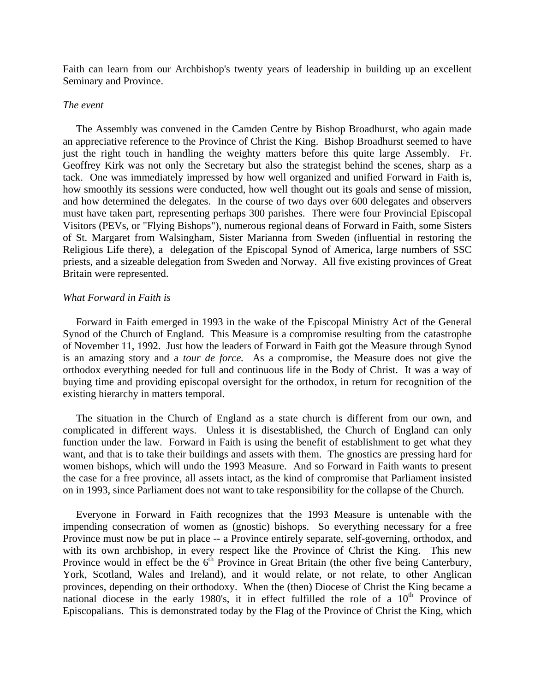Faith can learn from our Archbishop's twenty years of leadership in building up an excellent Seminary and Province.

## *The event*

The Assembly was convened in the Camden Centre by Bishop Broadhurst, who again made an appreciative reference to the Province of Christ the King. Bishop Broadhurst seemed to have just the right touch in handling the weighty matters before this quite large Assembly. Fr. Geoffrey Kirk was not only the Secretary but also the strategist behind the scenes, sharp as a tack. One was immediately impressed by how well organized and unified Forward in Faith is, how smoothly its sessions were conducted, how well thought out its goals and sense of mission, and how determined the delegates. In the course of two days over 600 delegates and observers must have taken part, representing perhaps 300 parishes. There were four Provincial Episcopal Visitors (PEVs, or "Flying Bishops"), numerous regional deans of Forward in Faith, some Sisters of St. Margaret from Walsingham, Sister Marianna from Sweden (influential in restoring the Religious Life there), a delegation of the Episcopal Synod of America, large numbers of SSC priests, and a sizeable delegation from Sweden and Norway. All five existing provinces of Great Britain were represented.

### *What Forward in Faith is*

Forward in Faith emerged in 1993 in the wake of the Episcopal Ministry Act of the General Synod of the Church of England. This Measure is a compromise resulting from the catastrophe of November 11, 1992. Just how the leaders of Forward in Faith got the Measure through Synod is an amazing story and a *tour de force.* As a compromise, the Measure does not give the orthodox everything needed for full and continuous life in the Body of Christ. It was a way of buying time and providing episcopal oversight for the orthodox, in return for recognition of the existing hierarchy in matters temporal.

 The situation in the Church of England as a state church is different from our own, and complicated in different ways. Unless it is disestablished, the Church of England can only function under the law. Forward in Faith is using the benefit of establishment to get what they want, and that is to take their buildings and assets with them. The gnostics are pressing hard for women bishops, which will undo the 1993 Measure. And so Forward in Faith wants to present the case for a free province, all assets intact, as the kind of compromise that Parliament insisted on in 1993, since Parliament does not want to take responsibility for the collapse of the Church.

 Everyone in Forward in Faith recognizes that the 1993 Measure is untenable with the impending consecration of women as (gnostic) bishops. So everything necessary for a free Province must now be put in place -- a Province entirely separate, self-governing, orthodox, and with its own archbishop, in every respect like the Province of Christ the King. This new Province would in effect be the  $6<sup>th</sup>$  Province in Great Britain (the other five being Canterbury, York, Scotland, Wales and Ireland), and it would relate, or not relate, to other Anglican provinces, depending on their orthodoxy. When the (then) Diocese of Christ the King became a national diocese in the early 1980's, it in effect fulfilled the role of a  $10<sup>th</sup>$  Province of Episcopalians. This is demonstrated today by the Flag of the Province of Christ the King, which